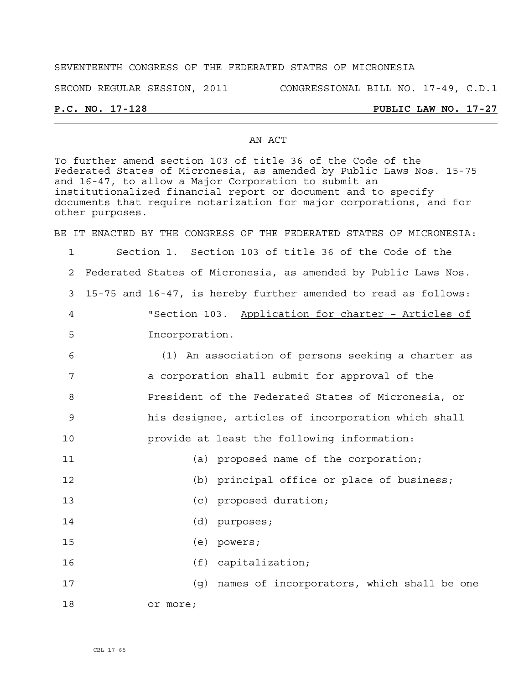## SEVENTEENTH CONGRESS OF THE FEDERATED STATES OF MICRONESIA

SECOND REGULAR SESSION, 2011 CONGRESSIONAL BILL NO. 17-49, C.D.1

# **P.C. NO. 17-128 PUBLIC LAW NO. 17-27**

### AN ACT

To further amend section 103 of title 36 of the Code of the Federated States of Micronesia, as amended by Public Laws Nos. 15-75 and 16-47, to allow a Major Corporation to submit an institutionalized financial report or document and to specify documents that require notarization for major corporations, and for other purposes.

BE IT ENACTED BY THE CONGRESS OF THE FEDERATED STATES OF MICRONESIA:

1 Section 1. Section 103 of title 36 of the Code of the 2 Federated States of Micronesia, as amended by Public Laws Nos. 3 15-75 and 16-47, is hereby further amended to read as follows: 4 "Section 103. Application for charter – Articles of 5 Incorporation.

6 (1) An association of persons seeking a charter as 7 a corporation shall submit for approval of the 8 President of the Federated States of Micronesia, or 9 his designee, articles of incorporation which shall 10 provide at least the following information: 11 (a) proposed name of the corporation;

12 (b) principal office or place of business;

- 13 (c) proposed duration;
- 14 (d) purposes;
- 15 (e) powers;
- 16 (f) capitalization;
- 17 (g) names of incorporators, which shall be one 18 or more;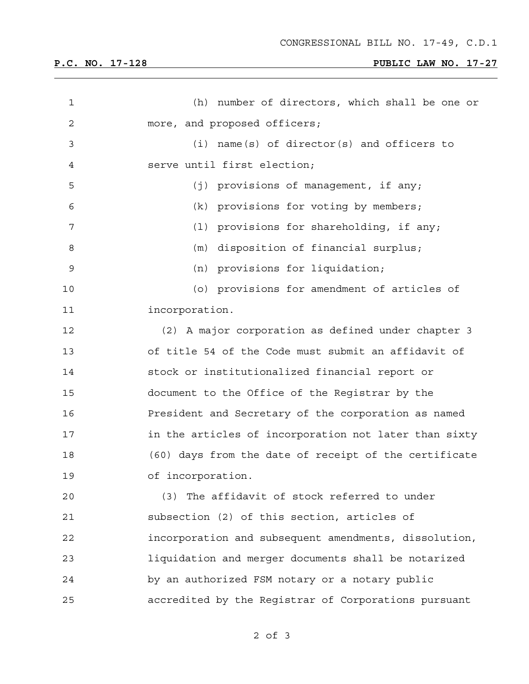| $\mathbf 1$  | (h)<br>number of directors, which shall be one or     |
|--------------|-------------------------------------------------------|
| $\mathbf{2}$ | more, and proposed officers;                          |
| 3            | name(s) of director(s) and officers to<br>(i)         |
| 4            | serve until first election;                           |
| 5            | (j) provisions of management, if any;                 |
| 6            | (k) provisions for voting by members;                 |
| 7            | (1) provisions for shareholding, if any;              |
| 8            | disposition of financial surplus;<br>(m)              |
| 9            | (n) provisions for liquidation;                       |
| 10           | (o) provisions for amendment of articles of           |
| 11           | incorporation.                                        |
| 12           | (2) A major corporation as defined under chapter 3    |
| 13           | of title 54 of the Code must submit an affidavit of   |
| 14           | stock or institutionalized financial report or        |
| 15           | document to the Office of the Registrar by the        |
| 16           | President and Secretary of the corporation as named   |
| 17           | in the articles of incorporation not later than sixty |
| 18           | (60) days from the date of receipt of the certificate |
| 19           | of incorporation.                                     |
| 20           | (3) The affidavit of stock referred to under          |
| 21           | subsection (2) of this section, articles of           |
| 22           | incorporation and subsequent amendments, dissolution, |
| 23           | liquidation and merger documents shall be notarized   |
| 24           | by an authorized FSM notary or a notary public        |
| 25           | accredited by the Registrar of Corporations pursuant  |

2 of 3